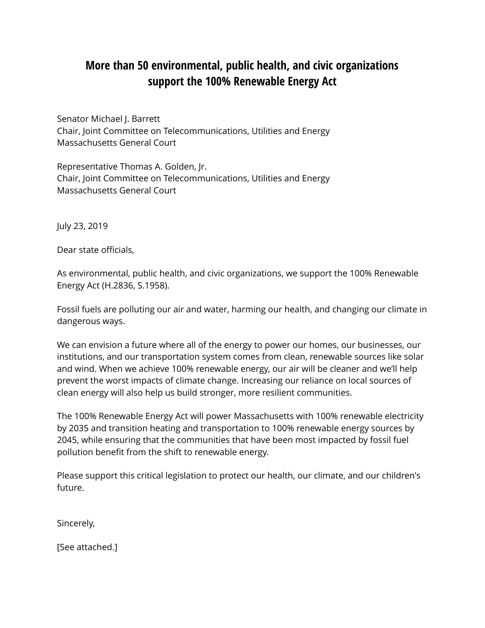## **More than 50 environmental, public health, and civic organizations support the 100% Renewable Energy Act**

Senator Michael J. Barrett Chair, Joint Committee on Telecommunications, Utilities and Energy Massachusetts General Court

Representative Thomas A. Golden, Jr. Chair, Joint Committee on Telecommunications, Utilities and Energy Massachusetts General Court

July 23, 2019

Dear state officials,

As environmental, public health, and civic organizations, we support the 100% Renewable Energy Act (H.2836, S.1958).

Fossil fuels are polluting our air and water, harming our health, and changing our climate in dangerous ways.

We can envision a future where all of the energy to power our homes, our businesses, our institutions, and our transportation system comes from clean, renewable sources like solar and wind. When we achieve 100% renewable energy, our air will be cleaner and we'll help prevent the worst impacts of climate change. Increasing our reliance on local sources of clean energy will also help us build stronger, more resilient communities.

The 100% Renewable Energy Act will power Massachusetts with 100% renewable electricity by 2035 and transition heating and transportation to 100% renewable energy sources by 2045, while ensuring that the communities that have been most impacted by fossil fuel pollution benefit from the shift to renewable energy.

Please support this critical legislation to protect our health, our climate, and our children's future.

Sincerely,

[See attached.]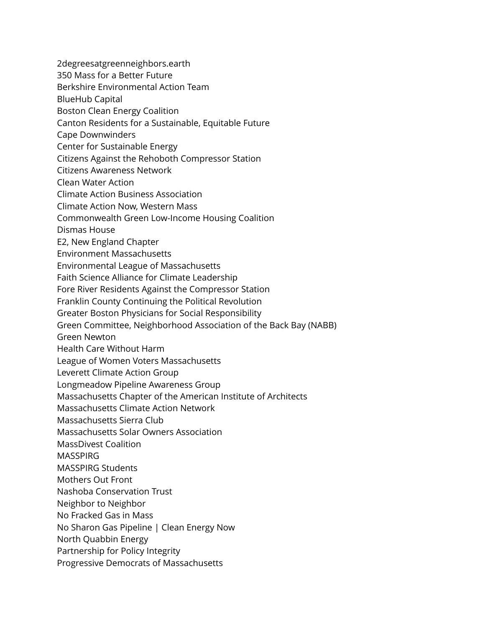- 2degreesatgreenneighbors.earth
- 350 Mass for a Better Future
- Berkshire Environmental Action Team
- BlueHub Capital
- Boston Clean Energy Coalition
- Canton Residents for a Sustainable, Equitable Future
- Cape Downwinders
- Center for Sustainable Energy
- Citizens Against the Rehoboth Compressor Station
- Citizens Awareness Network
- Clean Water Action
- Climate Action Business Association
- Climate Action Now, Western Mass
- Commonwealth Green Low-Income Housing Coalition
- Dismas House
- E2, New England Chapter
- Environment Massachusetts
- Environmental League of Massachusetts
- Faith Science Alliance for Climate Leadership
- Fore River Residents Against the Compressor Station
- Franklin County Continuing the Political Revolution
- Greater Boston Physicians for Social Responsibility
- Green Committee, Neighborhood Association of the Back Bay (NABB)
- Green Newton
- Health Care Without Harm
- League of Women Voters Massachusetts
- Leverett Climate Action Group
- Longmeadow Pipeline Awareness Group
- Massachusetts Chapter of the American Institute of Architects
- Massachusetts Climate Action Network
- Massachusetts Sierra Club
- Massachusetts Solar Owners Association
- MassDivest Coalition
- **MASSPIRG**
- MASSPIRG Students
- Mothers Out Front
- Nashoba Conservation Trust
- Neighbor to Neighbor
- No Fracked Gas in Mass
- No Sharon Gas Pipeline | Clean Energy Now
- North Quabbin Energy
- Partnership for Policy Integrity
- Progressive Democrats of Massachusetts